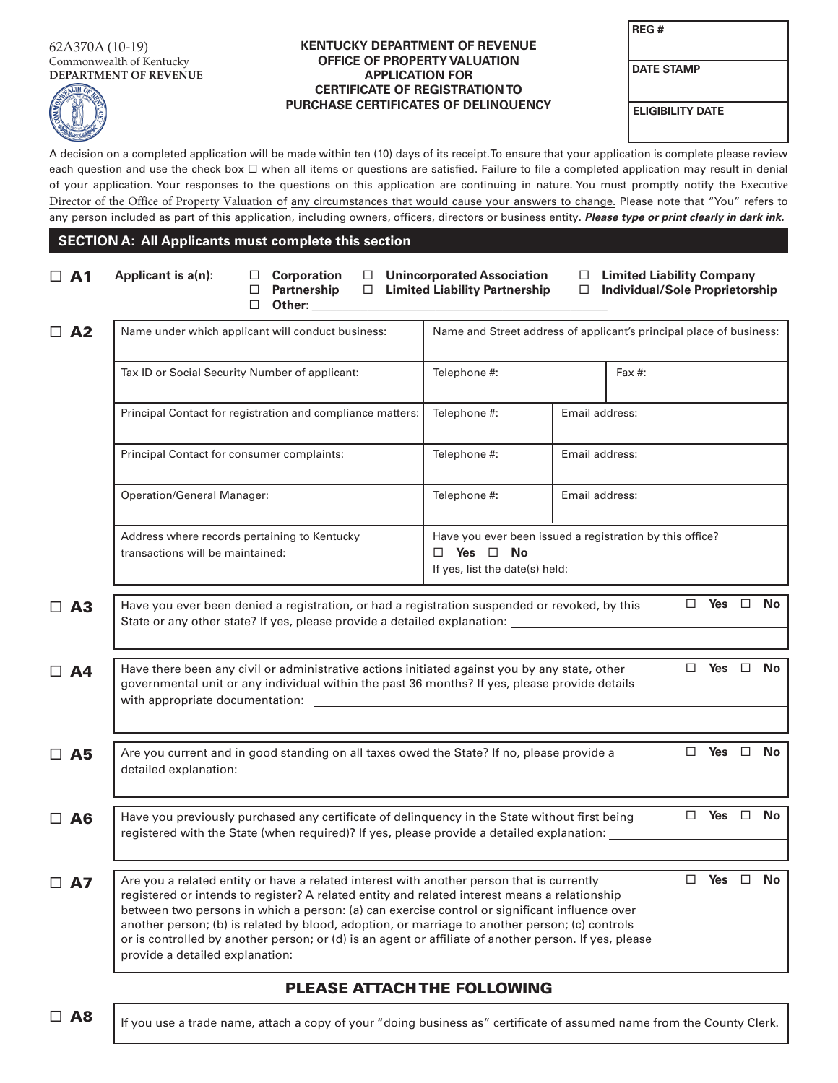#### 62A370A (10-19) Commonwealth of Kentucky **DEPARTMENT OF REVENUE**



### **KENTUCKY DEPARTMENT OF REVENUE OFFICE OF PROPERTY VALUATION APPLICATION FOR CERTIFICATE OF REGISTRATION TO PURCHASE CERTIFICATES OF DELINQUENCY ELIGIBILITY DATE**

**DATE STAMP**

A decision on a completed application will be made within ten (10) days of its receipt.To ensure that your application is complete please review each question and use the check box  $\Box$  when all items or questions are satisfied. Failure to file a completed application may result in denial of your application. Your responses to the questions on this application are continuing in nature. You must promptly notify the Executive Director of the Office of Property Valuation of any circumstances that would cause your answers to change. Please note that "You" refers to any person included as part of this application, including owners, officers, directors or business entity. *Please type or print clearly in dark ink.*

### **SECTION A: All Applicants must complete this section**

| $\Box$ A1    | Applicant is a(n):                                                                                                                                                                                                                                                                                                                                                                                                                                                                                                                        | $\Box$<br>□                                | $\Box$ Corporation<br>Partnership<br>Other: |  |                                                                     | □ Unincorporated Association<br>$\Box$ Limited Liability Partnership                                               | $\Box$               | □ Limited Liability Company<br><b>Individual/Sole Proprietorship</b> |           |  |  |  |
|--------------|-------------------------------------------------------------------------------------------------------------------------------------------------------------------------------------------------------------------------------------------------------------------------------------------------------------------------------------------------------------------------------------------------------------------------------------------------------------------------------------------------------------------------------------------|--------------------------------------------|---------------------------------------------|--|---------------------------------------------------------------------|--------------------------------------------------------------------------------------------------------------------|----------------------|----------------------------------------------------------------------|-----------|--|--|--|
| $\Box$ A2    | Name under which applicant will conduct business:                                                                                                                                                                                                                                                                                                                                                                                                                                                                                         |                                            |                                             |  | Name and Street address of applicant's principal place of business: |                                                                                                                    |                      |                                                                      |           |  |  |  |
|              | Tax ID or Social Security Number of applicant:                                                                                                                                                                                                                                                                                                                                                                                                                                                                                            |                                            |                                             |  |                                                                     | Telephone #:<br>Fax $#$ :                                                                                          |                      |                                                                      |           |  |  |  |
|              | Principal Contact for registration and compliance matters:                                                                                                                                                                                                                                                                                                                                                                                                                                                                                |                                            |                                             |  |                                                                     | Telephone #:                                                                                                       |                      | Email address:                                                       |           |  |  |  |
|              |                                                                                                                                                                                                                                                                                                                                                                                                                                                                                                                                           | Principal Contact for consumer complaints: |                                             |  |                                                                     |                                                                                                                    |                      | Email address:                                                       |           |  |  |  |
|              |                                                                                                                                                                                                                                                                                                                                                                                                                                                                                                                                           | <b>Operation/General Manager:</b>          |                                             |  |                                                                     |                                                                                                                    |                      | Email address:                                                       |           |  |  |  |
|              | Address where records pertaining to Kentucky<br>transactions will be maintained:                                                                                                                                                                                                                                                                                                                                                                                                                                                          |                                            |                                             |  |                                                                     | Have you ever been issued a registration by this office?<br>$\Box$ Yes $\Box$ No<br>If yes, list the date(s) held: |                      |                                                                      |           |  |  |  |
| $\Box$ A3    | $\Box$ Yes $\Box$<br>No<br>Have you ever been denied a registration, or had a registration suspended or revoked, by this<br>State or any other state? If yes, please provide a detailed explanation: ___________________________                                                                                                                                                                                                                                                                                                          |                                            |                                             |  |                                                                     |                                                                                                                    |                      |                                                                      |           |  |  |  |
| $\Box$ A4    | $\Box$ Yes $\Box$<br>Have there been any civil or administrative actions initiated against you by any state, other<br>governmental unit or any individual within the past 36 months? If yes, please provide details                                                                                                                                                                                                                                                                                                                       |                                            |                                             |  |                                                                     | No.                                                                                                                |                      |                                                                      |           |  |  |  |
| $\square$ A5 | Are you current and in good standing on all taxes owed the State? If no, please provide a                                                                                                                                                                                                                                                                                                                                                                                                                                                 |                                            |                                             |  |                                                                     |                                                                                                                    | $\Box$ Yes $\Box$    |                                                                      | No        |  |  |  |
| $\Box$ A6    | Have you previously purchased any certificate of delinquency in the State without first being<br>registered with the State (when required)? If yes, please provide a detailed explanation:                                                                                                                                                                                                                                                                                                                                                |                                            |                                             |  |                                                                     |                                                                                                                    | $\Box$ Yes $\Box$ No |                                                                      |           |  |  |  |
| $\Box$ A7    | Are you a related entity or have a related interest with another person that is currently<br>registered or intends to register? A related entity and related interest means a relationship<br>between two persons in which a person: (a) can exercise control or significant influence over<br>another person; (b) is related by blood, adoption, or marriage to another person; (c) controls<br>or is controlled by another person; or (d) is an agent or affiliate of another person. If yes, please<br>provide a detailed explanation: |                                            |                                             |  |                                                                     | $\Box$                                                                                                             | Yes                  | $\Box$                                                               | <b>No</b> |  |  |  |

## PLEASE ATTACH THE FOLLOWING

 $\Box$  A8 | If you use a trade name, attach a copy of your "doing business as" certificate of assumed name from the County Clerk.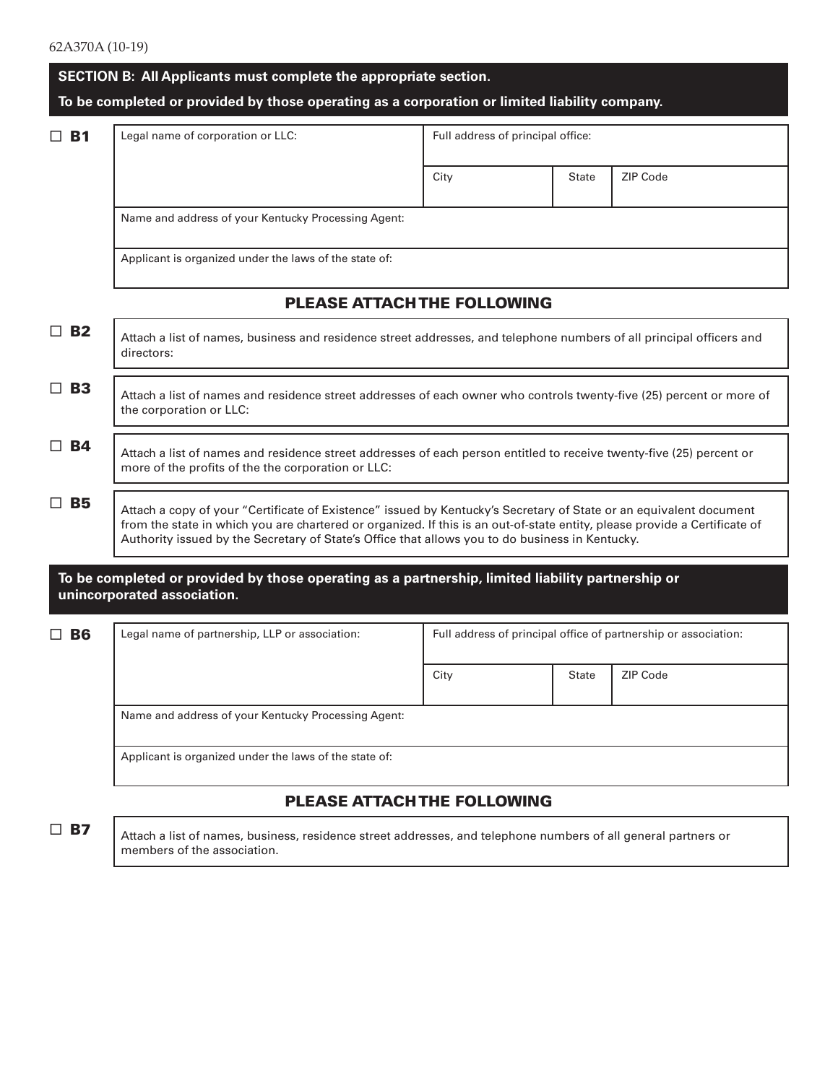|                       | SECTION B: All Applicants must complete the appropriate section.                                                                                                                                                                                                                                                                                    |                                   |              |          |  |  |  |  |
|-----------------------|-----------------------------------------------------------------------------------------------------------------------------------------------------------------------------------------------------------------------------------------------------------------------------------------------------------------------------------------------------|-----------------------------------|--------------|----------|--|--|--|--|
|                       | To be completed or provided by those operating as a corporation or limited liability company.                                                                                                                                                                                                                                                       |                                   |              |          |  |  |  |  |
| <b>B1</b><br>ப        | Legal name of corporation or LLC:                                                                                                                                                                                                                                                                                                                   | Full address of principal office: |              |          |  |  |  |  |
|                       |                                                                                                                                                                                                                                                                                                                                                     | City                              | <b>State</b> | ZIP Code |  |  |  |  |
|                       | Name and address of your Kentucky Processing Agent:                                                                                                                                                                                                                                                                                                 |                                   |              |          |  |  |  |  |
|                       | Applicant is organized under the laws of the state of:                                                                                                                                                                                                                                                                                              |                                   |              |          |  |  |  |  |
|                       | <b>PLEASE ATTACH THE FOLLOWING</b>                                                                                                                                                                                                                                                                                                                  |                                   |              |          |  |  |  |  |
| $\Box$ B <sub>2</sub> | Attach a list of names, business and residence street addresses, and telephone numbers of all principal officers and<br>directors:                                                                                                                                                                                                                  |                                   |              |          |  |  |  |  |
| $\Box$ B3             | Attach a list of names and residence street addresses of each owner who controls twenty-five (25) percent or more of<br>the corporation or LLC:                                                                                                                                                                                                     |                                   |              |          |  |  |  |  |
| $\Box$ B4             | Attach a list of names and residence street addresses of each person entitled to receive twenty-five (25) percent or<br>more of the profits of the the corporation or LLC:                                                                                                                                                                          |                                   |              |          |  |  |  |  |
| <b>B5</b><br>$\Box$   | Attach a copy of your "Certificate of Existence" issued by Kentucky's Secretary of State or an equivalent document<br>from the state in which you are chartered or organized. If this is an out-of-state entity, please provide a Certificate of<br>Authority issued by the Secretary of State's Office that allows you to do business in Kentucky. |                                   |              |          |  |  |  |  |
|                       | To be completed or provided by those operating as a partnership, limited liability partnership or<br>unincorporated association.                                                                                                                                                                                                                    |                                   |              |          |  |  |  |  |
| <b>B6</b><br>ப        | Legal name of partnership, LLP or association:<br>Full address of principal office of partnership or association:<br>ZIP Code<br>City<br><b>State</b>                                                                                                                                                                                               |                                   |              |          |  |  |  |  |
|                       |                                                                                                                                                                                                                                                                                                                                                     |                                   |              |          |  |  |  |  |
|                       | Name and address of your Kentucky Processing Agent:                                                                                                                                                                                                                                                                                                 |                                   |              |          |  |  |  |  |
|                       | Applicant is organized under the laws of the state of:                                                                                                                                                                                                                                                                                              |                                   |              |          |  |  |  |  |

# PLEASE ATTACH THE FOLLOWING

□ **B7** Attach a list of names, business, residence street addresses, and telephone numbers of all general partners or members of the association.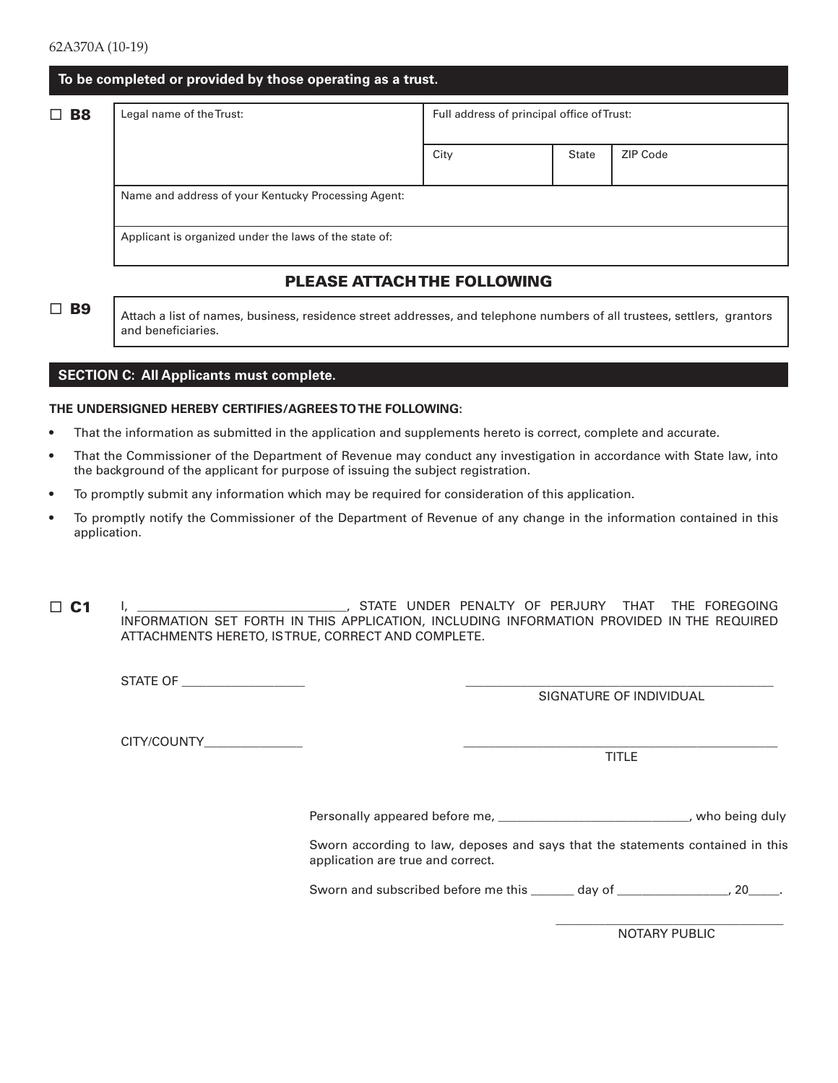| To be completed or provided by those operating as a trust. |  |
|------------------------------------------------------------|--|
|------------------------------------------------------------|--|

□ B8 Legal name of the Trust: Full address of principal office of Trust:

# PLEASE ATTACH THE FOLLOWING

 $\Box$  **B9** Attach a list of names, business, residence street addresses, and telephone numbers of all trustees, settlers, grantors and beneficiaries.

### **SECTION C: All Applicants must complete.**

#### **THE UNDERSIGNED HEREBY CERTIFIES/AGREES TO THE FOLLOWING:**

- That the information as submitted in the application and supplements hereto is correct, complete and accurate.
- That the Commissioner of the Department of Revenue may conduct any investigation in accordance with State law, into the background of the applicant for purpose of issuing the subject registration.
- To promptly submit any information which may be required for consideration of this application.
- To promptly notify the Commissioner of the Department of Revenue of any change in the information contained in this application.

I, \_\_\_\_\_\_\_\_\_\_\_\_\_\_\_\_\_\_\_\_\_\_\_\_\_\_\_\_\_\_\_\_\_\_, STATE UNDER PENALTY OF PERJURY THAT THE FOREGOING INFORMATION SET FORTH IN THIS APPLICATION, INCLUDING INFORMATION PROVIDED IN THE REQUIRED ATTACHMENTS HERETO, IS TRUE, CORRECT AND COMPLETE.  $\Box$  C1

STATE OF \_\_\_\_\_\_\_\_\_\_\_\_\_\_\_\_\_\_\_\_ \_\_\_\_\_\_\_\_\_\_\_\_\_\_\_\_\_\_\_\_\_\_\_\_\_\_\_\_\_\_\_\_\_\_\_\_\_\_\_\_\_\_\_\_\_\_\_\_\_\_

SIGNATURE OF INDIVIDUAL

CITY/COUNTY

TITLE

Personally appeared before me, \_\_\_\_\_\_\_\_\_\_\_\_\_\_\_\_\_\_\_\_\_\_\_\_\_\_\_\_\_\_, who being duly

Sworn according to law, deposes and says that the statements contained in this application are true and correct.

Sworn and subscribed before me this \_\_\_\_\_\_ day of \_\_\_\_\_\_\_\_\_\_\_\_\_\_\_, 20\_\_\_\_.

 $\mathcal{L}_\text{max}$  and  $\mathcal{L}_\text{max}$  and  $\mathcal{L}_\text{max}$  and  $\mathcal{L}_\text{max}$  and  $\mathcal{L}_\text{max}$  and  $\mathcal{L}_\text{max}$ 

NOTARY PUBLIC